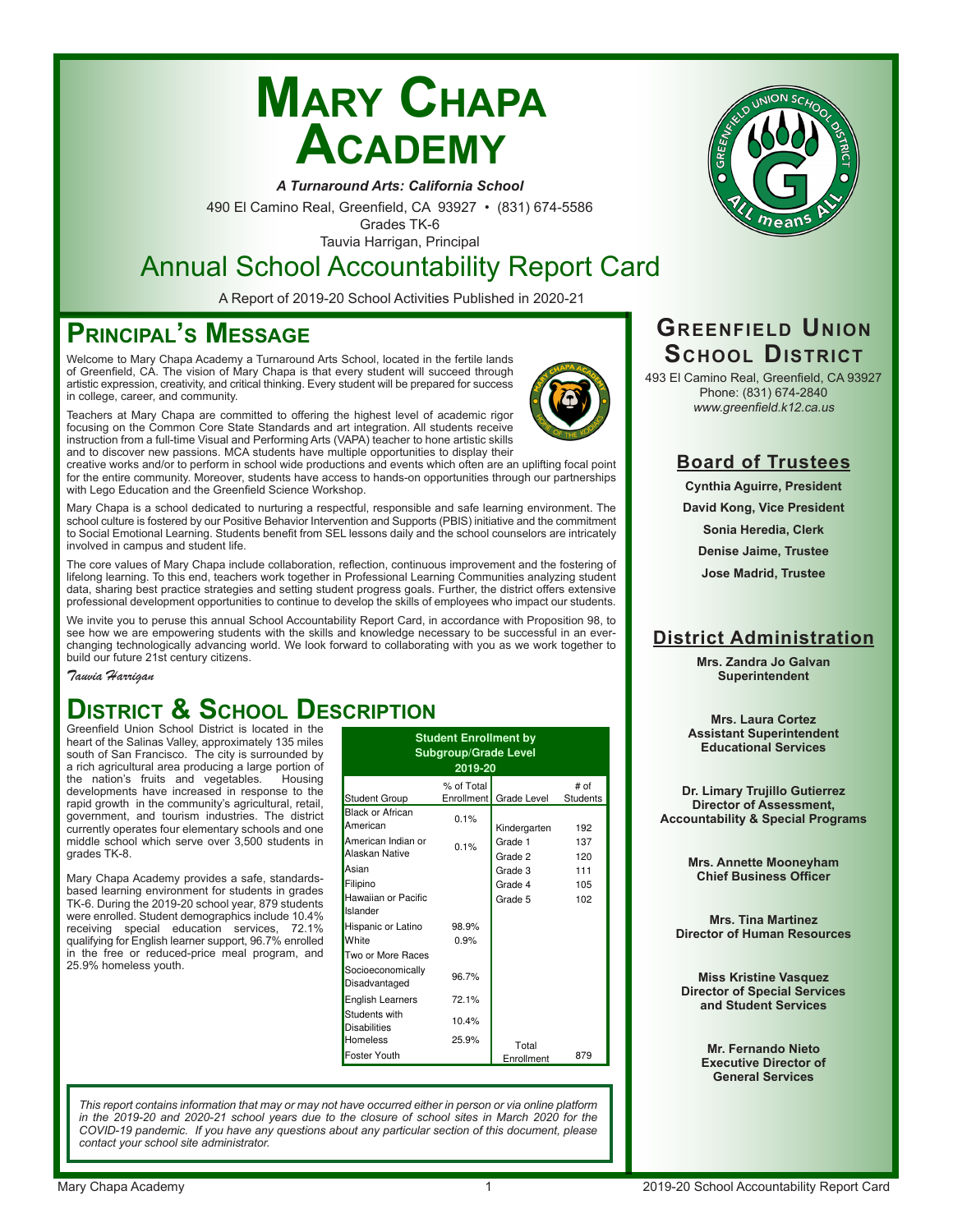# **Mary Chapa Academy**



*A Turnaround Arts: California School*

490 El Camino Real, Greenfield, CA 93927 • (831) 674-5586 Grades TK-6

Tauvia Harrigan, Principal

# Annual School Accountability Report Card

A Report of 2019-20 School Activities Published in 2020-21

### **Principal's Message**

Welcome to Mary Chapa Academy a Turnaround Arts School, located in the fertile lands of Greenfield, CA. The vision of Mary Chapa is that every student will succeed through artistic expression, creativity, and critical thinking. Every student will be prepared for success in college, career, and community.

Teachers at Mary Chapa are committed to offering the highest level of academic rigor focusing on the Common Core State Standards and art integration. All students receive instruction from a full-time Visual and Performing Arts (VAPA) teacher to hone artistic skills and to discover new passions. MCA students have multiple opportunities to display their

creative works and/or to perform in school wide productions and events which often are an uplifting focal point for the entire community. Moreover, students have access to hands-on opportunities through our partnerships with Lego Education and the Greenfield Science Workshop.

Mary Chapa is a school dedicated to nurturing a respectful, responsible and safe learning environment. The school culture is fostered by our Positive Behavior Intervention and Supports (PBIS) initiative and the commitment to Social Emotional Learning. Students benefit from SEL lessons daily and the school counselors are intricately involved in campus and student life.

The core values of Mary Chapa include collaboration, reflection, continuous improvement and the fostering of lifelong learning. To this end, teachers work together in Professional Learning Communities analyzing student data, sharing best practice strategies and setting student progress goals. Further, the district offers extensive professional development opportunities to continue to develop the skills of employees who impact our students.

We invite you to peruse this annual School Accountability Report Card, in accordance with Proposition 98, to see how we are empowering students with the skills and knowledge necessary to be successful in an everchanging technologically advancing world. We look forward to collaborating with you as we work together to build our future 21st century citizens.

*Tauvia Harrigan*

### **District & School Description** Greenfield Union School District is located in the

heart of the Salinas Valley, approximately 135 miles south of San Francisco. The city is surrounded by a rich agricultural area producing a large portion of the nation's fruits and vegetables. Housing developments have increased in response to the rapid growth in the community's agricultural, retail, government, and tourism industries. The district currently operates four elementary schools and one middle school which serve over 3,500 students in grades TK-8.

Mary Chapa Academy provides a safe, standardsbased learning environment for students in grades TK-6. During the 2019-20 school year, 879 students were enrolled. Student demographics include 10.4% receiving special education services, 72.1% qualifying for English learner support, 96.7% enrolled in the free or reduced-price meal program, and 25.9% homeless youth.

| <b>Student Enrollment by</b><br><b>Subgroup/Grade Level</b><br>2019-20 |            |                        |                 |  |  |  |  |  |  |
|------------------------------------------------------------------------|------------|------------------------|-----------------|--|--|--|--|--|--|
|                                                                        | % of Total |                        | # of            |  |  |  |  |  |  |
| Student Group                                                          |            | Enrollment Grade Level | <b>Students</b> |  |  |  |  |  |  |
| <b>Black or African</b><br>American                                    | 0.1%       | Kindergarten           | 192             |  |  |  |  |  |  |
| American Indian or                                                     | 0.1%       | Grade 1                | 137             |  |  |  |  |  |  |
| Alaskan Native                                                         |            | Grade 2                | 120             |  |  |  |  |  |  |
| Asian                                                                  |            | Grade 3                | 111             |  |  |  |  |  |  |
| Filipino                                                               |            | Grade 4                | 105             |  |  |  |  |  |  |
| Hawaiian or Pacific<br>Islander                                        |            | Grade 5                | 102             |  |  |  |  |  |  |
| Hispanic or Latino                                                     | 98.9%      |                        |                 |  |  |  |  |  |  |
| White                                                                  | 0.9%       |                        |                 |  |  |  |  |  |  |
| Two or More Races                                                      |            |                        |                 |  |  |  |  |  |  |
| Socioeconomically<br>Disadvantaged                                     | 96.7%      |                        |                 |  |  |  |  |  |  |
| <b>English Learners</b>                                                | 72.1%      |                        |                 |  |  |  |  |  |  |
| Students with<br><b>Disabilities</b>                                   | 10.4%      |                        |                 |  |  |  |  |  |  |
| Homeless                                                               | 25.9%      | Total                  |                 |  |  |  |  |  |  |
| <b>Foster Youth</b>                                                    |            | Enrollment             | 879             |  |  |  |  |  |  |

*This report contains information that may or may not have occurred either in person or via online platform in the 2019-20 and 2020-21 school years due to the closure of school sites in March 2020 for the COVID-19 pandemic. If you have any questions about any particular section of this document, please contact your school site administrator.*

### **Greenfield Union School District**

493 El Camino Real, Greenfield, CA 93927 Phone: (831) 674-2840 www.greenfield.k12.ca.us

### **Board of Trustees**

**Cynthia Aguirre, President David Kong, Vice President Sonia Heredia, Clerk Denise Jaime, Trustee**

**Jose Madrid, Trustee**

### **District Administration**

**Mrs. Zandra Jo Galvan Superintendent**

**Mrs. Laura Cortez Assistant Superintendent Educational Services**

**Dr. Limary Trujillo Gutierrez Director of Assessment, Accountability & Special Programs**

> **Mrs. Annette Mooneyham Chief Business Officer**

**Mrs. Tina Martinez Director of Human Resources**

**Miss Kristine Vasquez Director of Special Services and Student Services**

> **Mr. Fernando Nieto Executive Director of General Services**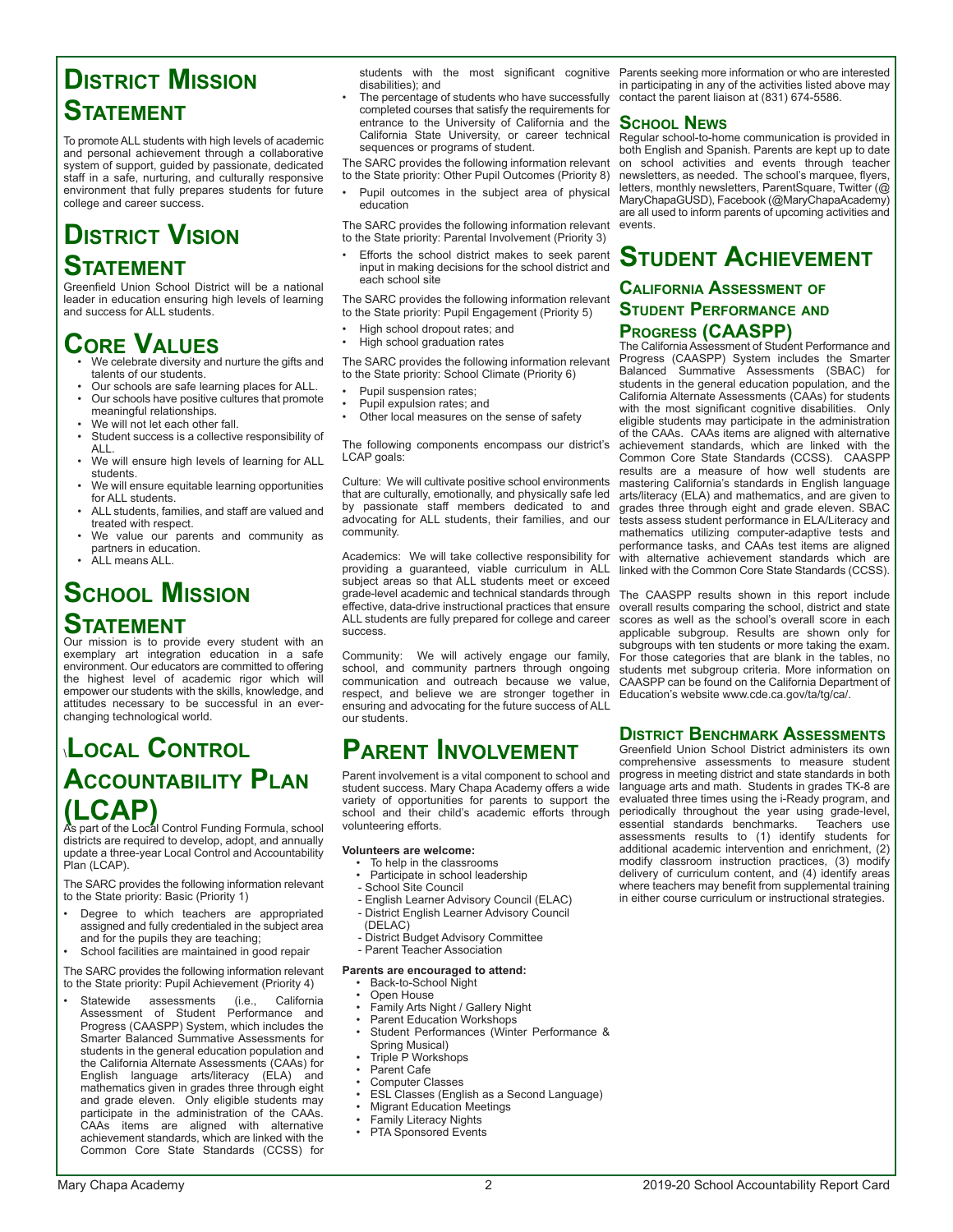### **District Mission Statement**

To promote ALL students with high levels of academic and personal achievement through a collaborative system of support, guided by passionate, dedicated staff in a safe, nurturing, and culturally responsive environment that fully prepares students for future college and career success.

# **District Vision Statement**

Greenfield Union School District will be a national leader in education ensuring high levels of learning and success for ALL students.

# **CORE VALUES**<br>• We celebrate diversity and nurture the gifts and

- talents of our students.
- Our schools are safe learning places for ALL. • Our schools have positive cultures that promote meaningful relationships.
- We will not let each other fall.
- Student success is a collective responsibility of ALL.
- We will ensure high levels of learning for ALL students.
- We will ensure equitable learning opportunities for ALL students.
- ALL students, families, and staff are valued and treated with respect.
- We value our parents and community as partners in education.
- ALL means ALL.

# **School Mission**

### **Statement**

Our mission is to provide every student with an exemplary art integration education in a safe environment. Our educators are committed to offering the highest level of academic rigor which will empower our students with the skills, knowledge, and attitudes necessary to be successful in an everchanging technological world.

# \**Local Control Accountability Plan (LCAP)** As part of the Local Control Funding Formula, school

districts are required to develop, adopt, and annually update a three-year Local Control and Accountability Plan (LCAP).

The SARC provides the following information relevant to the State priority: Basic (Priority 1)

- Degree to which teachers are appropriated assigned and fully credentialed in the subject area and for the pupils they are teaching;
- School facilities are maintained in good repair

The SARC provides the following information relevant to the State priority: Pupil Achievement (Priority 4)

Statewide assessments (i.e., California Assessment of Student Performance and Progress (CAASPP) System, which includes the Smarter Balanced Summative Assessments for students in the general education population and the California Alternate Assessments (CAAs) for English language arts/literacy (ELA) and mathematics given in grades three through eight and grade eleven. Only eligible students may participate in the administration of the CAAs. CAAs items are aligned with alternative achievement standards, which are linked with the Common Core State Standards (CCSS) for

students with the most significant cognitive disabilities); and

The percentage of students who have successfully completed courses that satisfy the requirements for entrance to the University of California and the California State University, or career technical sequences or programs of student.

The SARC provides the following information relevant to the State priority: Other Pupil Outcomes (Priority 8)

- Pupil outcomes in the subject area of physical
- education

The SARC provides the following information relevant to the State priority: Parental Involvement (Priority 3)

Efforts the school district makes to seek parent input in making decisions for the school district and each school site

The SARC provides the following information relevant to the State priority: Pupil Engagement (Priority 5)

• High school dropout rates; and • High school graduation rates

The SARC provides the following information relevant

to the State priority: School Climate (Priority 6)

- Pupil suspension rates;
- Pupil expulsion rates; and
- Other local measures on the sense of safety

The following components encompass our district's LCAP goals:

Culture: We will cultivate positive school environments that are culturally, emotionally, and physically safe led by passionate staff members dedicated to and advocating for ALL students, their families, and our community.

Academics: We will take collective responsibility for providing a guaranteed, viable curriculum in ALL subject areas so that ALL students meet or exceed grade-level academic and technical standards through effective, data-drive instructional practices that ensure ALL students are fully prepared for college and career success.

Community: We will actively engage our family, school, and community partners through ongoing communication and outreach because we value, respect, and believe we are stronger together in ensuring and advocating for the future success of ALL our students.

### **Parent Involvement**

Parent involvement is a vital component to school and student success. Mary Chapa Academy offers a wide variety of opportunities for parents to support the school and their child's academic efforts through volunteering efforts.

#### **Volunteers are welcome:**

- To help in the classrooms
- Participate in school leadership
- School Site Council
- English Learner Advisory Council (ELAC)
- District English Learner Advisory Council
- (DELAC)
- District Budget Advisory Committee
- Parent Teacher Association
- **Parents are encouraged to attend:**
	- Back-to-School Night
	- Open House
	- Family Arts Night / Gallery Night
	- Parent Education Workshops
	- Student Performances (Winter Performance & Spring Musical)
	- Triple P Workshops
	- Parent Cafe
	- Computer Classes
	- ESL Classes (English as a Second Language)
	- **Migrant Education Meetings**
	- Family Literacy Nights
	- PTA Sponsored Events

#### **School News**

Regular school-to-home communication is provided in both English and Spanish. Parents are kept up to date on school activities and events through teacher newsletters, as needed. The school's marquee, flyers, letters, monthly newsletters, ParentSquare, Twitter (@ MaryChapaGUSD), Facebook (@MaryChapaAcademy) are all used to inform parents of upcoming activities and events.

### **Student Achievement**

### **California Assessment of Student Performance and Progress (CAASPP)**

The California Assessment of Student Performance and Progress (CAASPP) System includes the Smarter Balanced Summative Assessments (SBAC) for students in the general education population, and the California Alternate Assessments (CAAs) for students with the most significant cognitive disabilities. Only eligible students may participate in the administration of the CAAs. CAAs items are aligned with alternative achievement standards, which are linked with the Common Core State Standards (CCSS). CAASPP results are a measure of how well students are mastering California's standards in English language arts/literacy (ELA) and mathematics, and are given to grades three through eight and grade eleven. SBAC tests assess student performance in ELA/Literacy and mathematics utilizing computer-adaptive tests and performance tasks, and CAAs test items are aligned with alternative achievement standards which are linked with the Common Core State Standards (CCSS).

The CAASPP results shown in this report include overall results comparing the school, district and state scores as well as the school's overall score in each applicable subgroup. Results are shown only for subgroups with ten students or more taking the exam. For those categories that are blank in the tables, no students met subgroup criteria. More information on CAASPP can be found on the California Department of Education's website www.cde.ca.gov/ta/tg/ca/.

### **District Benchmark Assessments**

Greenfield Union School District administers its own comprehensive assessments to measure student progress in meeting district and state standards in both language arts and math. Students in grades TK-8 are evaluated three times using the i-Ready program, and periodically throughout the year using grade-level, essential standards benchmarks. Teachers use assessments results to (1) identify students for additional academic intervention and enrichment, (2) modify classroom instruction practices, (3) modify delivery of curriculum content, and (4) identify areas where teachers may benefit from supplemental training in either course curriculum or instructional strategies.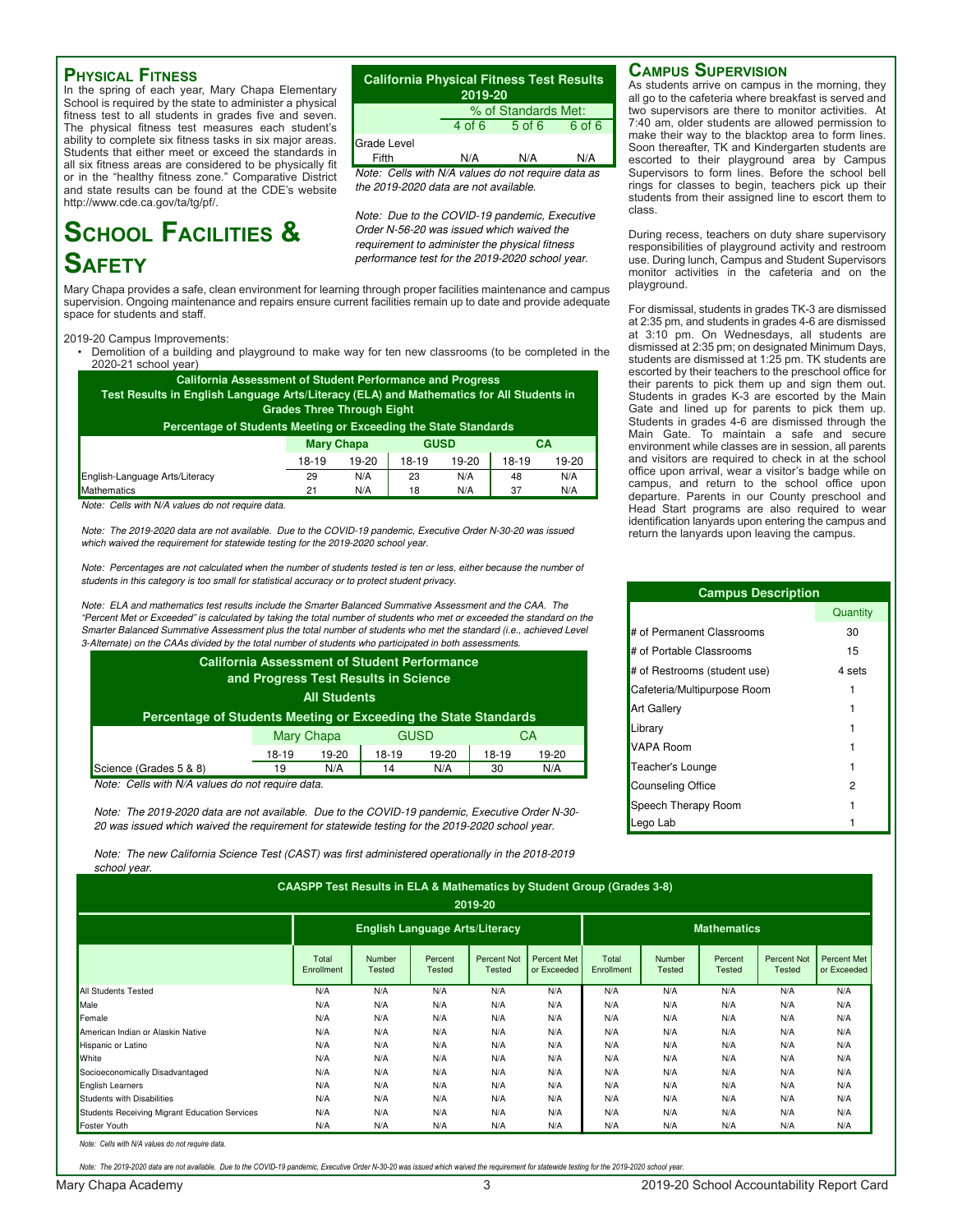#### **Physical Fitness**

In the spring of each year, Mary Chapa Elementary School is required by the state to administer a physical fitness test to all students in grades five and seven. The physical fitness test measures each student's ability to complete six fitness tasks in six major areas. Students that either meet or exceed the standards in all six fitness areas are considered to be physically fit or in the "healthy fitness zone." Comparative District and state results can be found at the CDE's website http://www.cde.ca.gov/ta/tg/pf/.

# **School Facilities & Safety**

Mary Chapa provides a safe, clean environment for learning through proper facilities maintenance and campus performance test for the 2019-2020 school year.

Grade Level

#### 2019-20 Campus Improvements:

space for students and staff.

• Demolition of a building and playground to make way for ten new classrooms (to be completed in the 2020-21 school year)

supervision. Ongoing maintenance and repairs ensure current facilities remain up to date and provide adequate

| <b>California Assessment of Student Performance and Progress</b><br>Test Results in English Language Arts/Literacy (ELA) and Mathematics for All Students in<br><b>Grades Three Through Eight</b> |                   |         |             |       |       |         |  |  |  |
|---------------------------------------------------------------------------------------------------------------------------------------------------------------------------------------------------|-------------------|---------|-------------|-------|-------|---------|--|--|--|
| Percentage of Students Meeting or Exceeding the State Standards                                                                                                                                   |                   |         |             |       |       |         |  |  |  |
|                                                                                                                                                                                                   | <b>Mary Chapa</b> |         | <b>GUSD</b> |       | CA    |         |  |  |  |
|                                                                                                                                                                                                   | 18-19             | $19-20$ | 18-19       | 19-20 | 18-19 | $19-20$ |  |  |  |
| English-Language Arts/Literacy                                                                                                                                                                    | 29                | N/A     | 23          | N/A   | 48    | N/A     |  |  |  |
| <b>Mathematics</b>                                                                                                                                                                                | 21                | N/A     | 18          | N/A   | 37    | N/A     |  |  |  |

Note: Cells with N/A values do not require data.

Note: The 2019-2020 data are not available. Due to the COVID-19 pandemic, Executive Order N-30-20 was issued which waived the requirement for statewide testing for the 2019-2020 school year.

Note: Percentages are not calculated when the number of students tested is ten or less, either because the number of students in this category is too small for statistical accuracy or to protect student privacy.

Note: ELA and mathematics test results include the Smarter Balanced Summative Assessment and the CAA. The "Percent Met or Exceeded" is calculated by taking the total number of students who met or exceeded the standard on the Smarter Balanced Summative Assessment plus the total number of students who met the standard (i.e., achieved Level 3-Alternate) on the CAAs divided by the total number of students who participated in both assessments.

| <b>California Assessment of Student Performance</b><br>and Progress Test Results in Science |                                 |       |         |       |       |       |  |  |  |  |
|---------------------------------------------------------------------------------------------|---------------------------------|-------|---------|-------|-------|-------|--|--|--|--|
| <b>All Students</b><br>Percentage of Students Meeting or Exceeding the State Standards      |                                 |       |         |       |       |       |  |  |  |  |
|                                                                                             | <b>Mary Chapa</b><br>GUSD<br>CA |       |         |       |       |       |  |  |  |  |
|                                                                                             | 18-19                           | 19-20 | $18-19$ | 19-20 | 18-19 | 19-20 |  |  |  |  |
| Science (Grades 5 & 8)                                                                      | 19                              | N/A   | 14      | N/A   | 30    | N/A   |  |  |  |  |

Note: Cells with N/A values do not require data.

Note: The 2019-2020 data are not available. Due to the COVID-19 pandemic, Executive Order N-30- 20 was issued which waived the requirement for statewide testing for the 2019-2020 school year.

Note: The new California Science Test (CAST) was first administered operationally in the 2018-2019 school vear

#### **Campus Supervision**

4 of 6 5 of 6 6 of 6

% of Standards Met:

Fifth N/A N/A N/A

Note: Cells with N/A values do not require data as

Note: Due to the COVID-19 pandemic, Executive Order N-56-20 was issued which waived the requirement to administer the physical fitness

the 2019-2020 data are not available.

**California Physical Fitness Test Results 2019-20**

As students arrive on campus in the morning, they all go to the cafeteria where breakfast is served and two supervisors are there to monitor activities. At 7:40 am, older students are allowed permission to make their way to the blacktop area to form lines. Soon thereafter, TK and Kindergarten students are escorted to their playground area by Campus Supervisors to form lines. Before the school bell rings for classes to begin, teachers pick up their students from their assigned line to escort them to class.

During recess, teachers on duty share supervisory responsibilities of playground activity and restroom use. During lunch, Campus and Student Supervisors monitor activities in the cafeteria and on the playground.

For dismissal, students in grades TK-3 are dismissed at 2:35 pm, and students in grades 4-6 are dismissed at 3:10 pm. On Wednesdays, all students are dismissed at 2:35 pm; on designated Minimum Days, students are dismissed at 1:25 pm. TK students are escorted by their teachers to the preschool office for their parents to pick them up and sign them out. Students in grades K-3 are escorted by the Main Gate and lined up for parents to pick them up. Students in grades 4-6 are dismissed through the Main Gate. To maintain a safe and secure environment while classes are in session, all parents and visitors are required to check in at the school office upon arrival, wear a visitor's badge while on campus, and return to the school office upon departure. Parents in our County preschool and Head Start programs are also required to wear identification lanyards upon entering the campus and return the lanyards upon leaving the campus.

| <b>Campus Description</b>    |          |  |  |  |  |  |
|------------------------------|----------|--|--|--|--|--|
|                              | Quantity |  |  |  |  |  |
| # of Permanent Classrooms    | 30       |  |  |  |  |  |
| # of Portable Classrooms     | 15       |  |  |  |  |  |
| # of Restrooms (student use) | 4 sets   |  |  |  |  |  |
| Cafeteria/Multipurpose Room  |          |  |  |  |  |  |
| <b>Art Gallery</b>           |          |  |  |  |  |  |
| Library                      |          |  |  |  |  |  |
| VAPA Room                    |          |  |  |  |  |  |
| Teacher's Lounge             |          |  |  |  |  |  |
| <b>Counseling Office</b>     | 2        |  |  |  |  |  |
| Speech Therapy Room          |          |  |  |  |  |  |
| Lego Lab                     |          |  |  |  |  |  |

| <b>CAASPP Test Results in ELA &amp; Mathematics by Student Group (Grades 3-8)</b> |                     |                                       |                   |                              |                                   |                     |                         |                          |                                     |                            |
|-----------------------------------------------------------------------------------|---------------------|---------------------------------------|-------------------|------------------------------|-----------------------------------|---------------------|-------------------------|--------------------------|-------------------------------------|----------------------------|
| 2019-20                                                                           |                     |                                       |                   |                              |                                   |                     |                         |                          |                                     |                            |
|                                                                                   |                     | <b>English Language Arts/Literacy</b> |                   |                              |                                   | <b>Mathematics</b>  |                         |                          |                                     |                            |
|                                                                                   | Total<br>Enrollment | Number<br>Tested                      | Percent<br>Tested | Percent Not<br><b>Tested</b> | <b>Percent Met</b><br>or Exceeded | Total<br>Enrollment | Number<br><b>Tested</b> | Percent<br><b>Tested</b> | <b>Percent Not</b><br><b>Tested</b> | Percent Met<br>or Exceeded |
| <b>All Students Tested</b>                                                        | N/A                 | N/A                                   | N/A               | N/A                          | N/A                               | N/A                 | N/A                     | N/A                      | N/A                                 | N/A                        |
| Male                                                                              | N/A                 | N/A                                   | N/A               | N/A                          | N/A                               | N/A                 | N/A                     | N/A                      | N/A                                 | N/A                        |
| Female                                                                            | N/A                 | N/A                                   | N/A               | N/A                          | N/A                               | N/A                 | N/A                     | N/A                      | N/A                                 | N/A                        |
| American Indian or Alaskin Native                                                 | N/A                 | N/A                                   | N/A               | N/A                          | N/A                               | N/A                 | N/A                     | N/A                      | N/A                                 | N/A                        |
| Hispanic or Latino                                                                | N/A                 | N/A                                   | N/A               | N/A                          | N/A                               | N/A                 | N/A                     | N/A                      | N/A                                 | N/A                        |
| White                                                                             | N/A                 | N/A                                   | N/A               | N/A                          | N/A                               | N/A                 | N/A                     | N/A                      | N/A                                 | N/A                        |
| Socioeconomically Disadvantaged                                                   | N/A                 | N/A                                   | N/A               | N/A                          | N/A                               | N/A                 | N/A                     | N/A                      | N/A                                 | N/A                        |
| <b>English Learners</b>                                                           | N/A                 | N/A                                   | N/A               | N/A                          | N/A                               | N/A                 | N/A                     | N/A                      | N/A                                 | N/A                        |
| Students with Disabilities                                                        | N/A                 | N/A                                   | N/A               | N/A                          | N/A                               | N/A                 | N/A                     | N/A                      | N/A                                 | N/A                        |
| Students Receiving Migrant Education Services                                     | N/A                 | N/A                                   | N/A               | N/A                          | N/A                               | N/A                 | N/A                     | N/A                      | N/A                                 | N/A                        |
| Foster Youth                                                                      | N/A                 | N/A                                   | N/A               | N/A                          | N/A                               | N/A                 | N/A                     | N/A                      | N/A                                 | N/A                        |

Note: Cells with N/A values do not require data

Note: The 2019-2020 data are not available. Due to the COVID-19 pandemic, Executive Order N-30-20 was issued which waived the requirement for statewide testing for the 2019-2020 school year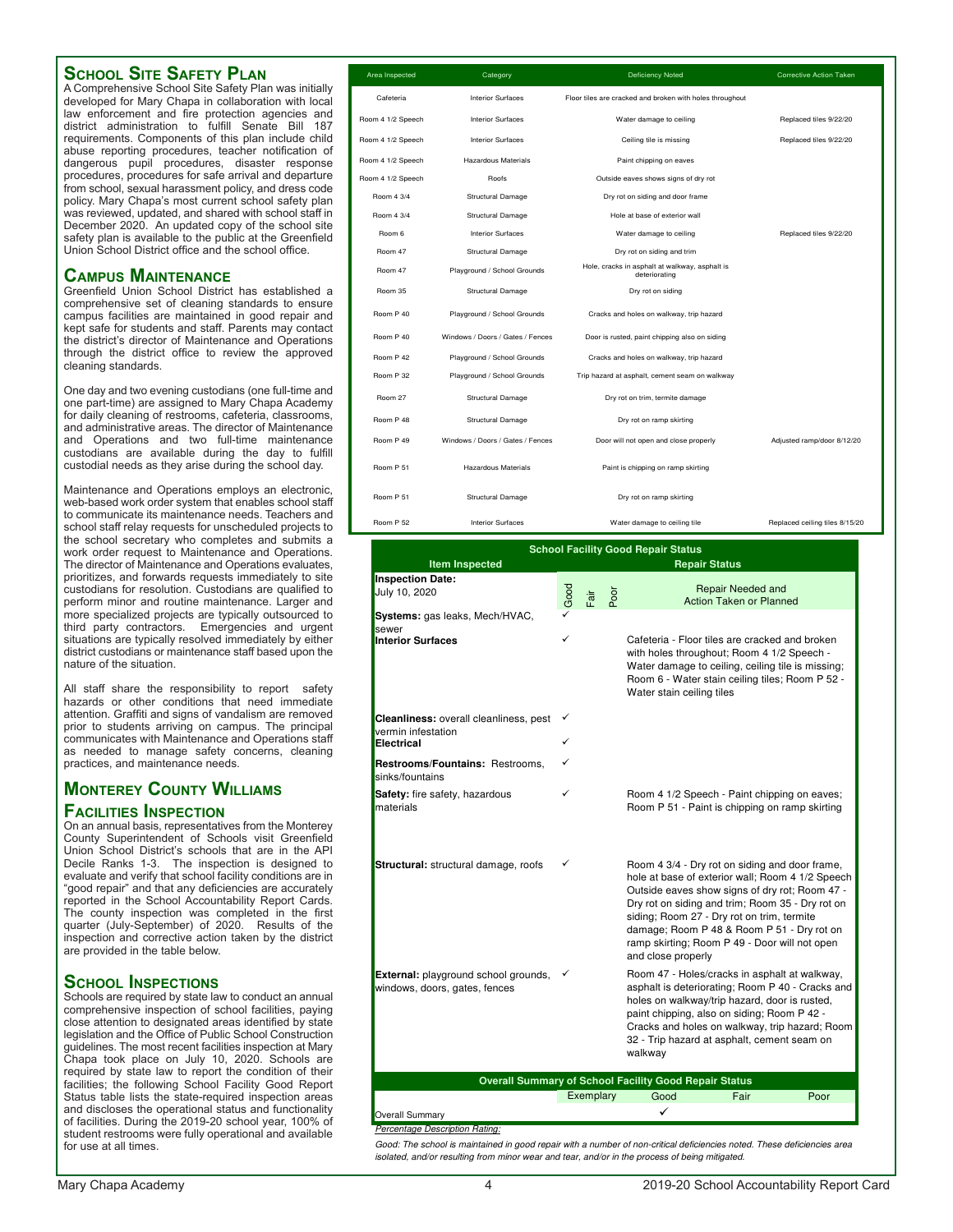### **School Site Safety Plan**

A Comprehensive School Site Safety Plan was initially developed for Mary Chapa in collaboration with local law enforcement and fire protection agencies and district administration to fulfill Senate Bill 187 requirements. Components of this plan include child abuse reporting procedures, teacher notification of dangerous pupil procedures, disaster response procedures, procedures for safe arrival and departure from school, sexual harassment policy, and dress code policy. Mary Chapa's most current school safety plan was reviewed, updated, and shared with school staff in December 2020. An updated copy of the school site safety plan is available to the public at the Greenfield Union School District office and the school office.

### **Campus Maintenance**

Greenfield Union School District has established a comprehensive set of cleaning standards to ensure campus facilities are maintained in good repair and kept safe for students and staff. Parents may contact the district's director of Maintenance and Operations through the district office to review the approved cleaning standards.

One day and two evening custodians (one full-time and one part-time) are assigned to Mary Chapa Academy for daily cleaning of restrooms, cafeteria, classrooms, and administrative areas. The director of Maintenance and Operations and two full-time maintenance custodians are available during the day to fulfill custodial needs as they arise during the school day.

Maintenance and Operations employs an electronic, web-based work order system that enables school staff to communicate its maintenance needs. Teachers and school staff relay requests for unscheduled projects to the school secretary who completes and submits a work order request to Maintenance and Operations. The director of Maintenance and Operations evaluates, prioritizes, and forwards requests immediately to site custodians for resolution. Custodians are qualified to perform minor and routine maintenance. Larger and more specialized projects are typically outsourced to third party contractors. Emergencies and urgent situations are typically resolved immediately by either district custodians or maintenance staff based upon the nature of the situation.

All staff share the responsibility to report safety hazards or other conditions that need immediate attention. Graffiti and signs of vandalism are removed prior to students arriving on campus. The principal communicates with Maintenance and Operations staff as needed to manage safety concerns, cleaning practices, and maintenance needs.

### **Monterey County Williams Facilities Inspection**

On an annual basis, representatives from the Monterey County Superintendent of Schools visit Greenfield Union School District's schools that are in the API Decile Ranks 1-3. The inspection is designed to evaluate and verify that school facility conditions are in "good repair" and that any deficiencies are accurately reported in the School Accountability Report Cards. The county inspection was completed in the first quarter (July-September) of 2020. Results of the inspection and corrective action taken by the district are provided in the table below.

### **School Inspections**

Schools are required by state law to conduct an annual comprehensive inspection of school facilities, paying close attention to designated areas identified by state legislation and the Office of Public School Construction guidelines. The most recent facilities inspection at Mary Chapa took place on July 10, 2020. Schools are required by state law to report the condition of their facilities; the following School Facility Good Report Status table lists the state-required inspection areas and discloses the operational status and functionality of facilities. During the 2019-20 school year, 100% of student restrooms were fully operational and available for use at all times.

| Area Inspected    | Category                         | <b>Deficiency Noted</b>                                         | <b>Corrective Action Taken</b> |
|-------------------|----------------------------------|-----------------------------------------------------------------|--------------------------------|
| Cafeteria         | <b>Interior Surfaces</b>         | Floor tiles are cracked and broken with holes throughout        |                                |
| Room 4 1/2 Speech | <b>Interior Surfaces</b>         | Water damage to ceiling                                         | Replaced tiles 9/22/20         |
| Room 4 1/2 Speech | <b>Interior Surfaces</b>         | Ceiling tile is missing                                         | Replaced tiles 9/22/20         |
| Room 4 1/2 Speech | <b>Hazardous Materials</b>       | Paint chipping on eaves                                         |                                |
| Room 4 1/2 Speech | Roofs                            | Outside eaves shows signs of dry rot                            |                                |
| Room 4 3/4        | Structural Damage                | Dry rot on siding and door frame                                |                                |
| Room 4 3/4        | Structural Damage                | Hole at base of exterior wall                                   |                                |
| Room 6            | <b>Interior Surfaces</b>         | Water damage to ceiling                                         | Replaced tiles 9/22/20         |
| Room 47           | Structural Damage                | Dry rot on siding and trim                                      |                                |
| Room 47           | Playground / School Grounds      | Hole, cracks in asphalt at walkway, asphalt is<br>deteriorating |                                |
| Room 35           | Structural Damage                | Dry rot on siding                                               |                                |
| Room P 40         | Playground / School Grounds      | Cracks and holes on walkway, trip hazard                        |                                |
| Room P 40         | Windows / Doors / Gates / Fences | Door is rusted, paint chipping also on siding                   |                                |
| Room P 42         | Playground / School Grounds      | Cracks and holes on walkway, trip hazard                        |                                |
| Room P 32         | Playground / School Grounds      | Trip hazard at asphalt, cement seam on walkway                  |                                |
| Room 27           | Structural Damage                | Dry rot on trim, termite damage                                 |                                |
| Room P 48         | Structural Damage                | Dry rot on ramp skirting                                        |                                |
| Room P 49         | Windows / Doors / Gates / Fences | Door will not open and close properly                           | Adjusted ramp/door 8/12/20     |
| Room P 51         | <b>Hazardous Materials</b>       | Paint is chipping on ramp skirting                              |                                |
| Room P 51         | Structural Damage                | Dry rot on ramp skirting                                        |                                |
| Room P 52         | <b>Interior Surfaces</b>         | Water damage to ceiling tile                                    | Replaced ceiling tiles 8/15/20 |

| <b>School Facility Good Repair Status</b>                                         |      |           |      |                                                                                                                                                                                                                                                                                                                                                                             |  |  |  |  |  |
|-----------------------------------------------------------------------------------|------|-----------|------|-----------------------------------------------------------------------------------------------------------------------------------------------------------------------------------------------------------------------------------------------------------------------------------------------------------------------------------------------------------------------------|--|--|--|--|--|
| <b>Item Inspected</b>                                                             |      |           |      | <b>Repair Status</b>                                                                                                                                                                                                                                                                                                                                                        |  |  |  |  |  |
| <b>Inspection Date:</b><br>July 10, 2020                                          | Good | Fair      | Poor | <b>Repair Needed and</b><br>Action Taken or Planned                                                                                                                                                                                                                                                                                                                         |  |  |  |  |  |
| Systems: gas leaks, Mech/HVAC,<br>sewer<br><b>Interior Surfaces</b>               | ✓    |           |      | Cafeteria - Floor tiles are cracked and broken<br>with holes throughout; Room 4 1/2 Speech -<br>Water damage to ceiling, ceiling tile is missing;<br>Room 6 - Water stain ceiling tiles; Room P 52 -<br>Water stain ceiling tiles                                                                                                                                           |  |  |  |  |  |
| <b>Cleanliness:</b> overall cleanliness, pest<br>vermin infestation<br>Electrical | ✓    |           |      |                                                                                                                                                                                                                                                                                                                                                                             |  |  |  |  |  |
| <b>Restrooms/Fountains: Restrooms,</b><br>sinks/fountains                         |      |           |      |                                                                                                                                                                                                                                                                                                                                                                             |  |  |  |  |  |
| Safety: fire safety, hazardous<br>materials                                       | ✓    |           |      | Room 4 1/2 Speech - Paint chipping on eaves;<br>Room P 51 - Paint is chipping on ramp skirting                                                                                                                                                                                                                                                                              |  |  |  |  |  |
| Structural: structural damage, roofs                                              | ✓    |           |      | Room 4 3/4 - Dry rot on siding and door frame,<br>hole at base of exterior wall; Room 4 1/2 Speech<br>Outside eaves show signs of dry rot; Room 47 -<br>Dry rot on siding and trim; Room 35 - Dry rot on<br>siding; Room 27 - Dry rot on trim, termite<br>damage; Room P 48 & Room P 51 - Dry rot on<br>ramp skirting; Room P 49 - Door will not open<br>and close properly |  |  |  |  |  |
| External: playground school grounds,<br>windows, doors, gates, fences             |      |           |      | Room 47 - Holes/cracks in asphalt at walkway,<br>asphalt is deteriorating; Room P 40 - Cracks and<br>holes on walkway/trip hazard, door is rusted,<br>paint chipping, also on siding; Room P 42 -<br>Cracks and holes on walkway, trip hazard; Room<br>32 - Trip hazard at asphalt, cement seam on<br>walkway                                                               |  |  |  |  |  |
|                                                                                   |      |           |      | <b>Overall Summary of School Facility Good Repair Status</b>                                                                                                                                                                                                                                                                                                                |  |  |  |  |  |
|                                                                                   |      | Exemplary |      | Fair<br>Poor<br>Good                                                                                                                                                                                                                                                                                                                                                        |  |  |  |  |  |
| <b>Overall Summary</b>                                                            |      |           |      | ✓                                                                                                                                                                                                                                                                                                                                                                           |  |  |  |  |  |

Percentage Description Rating:

Good: The school is maintained in good repair with a number of non-critical deficiencies noted. These deficiencies area isolated, and/or resulting from minor wear and tear, and/or in the process of being mitigated.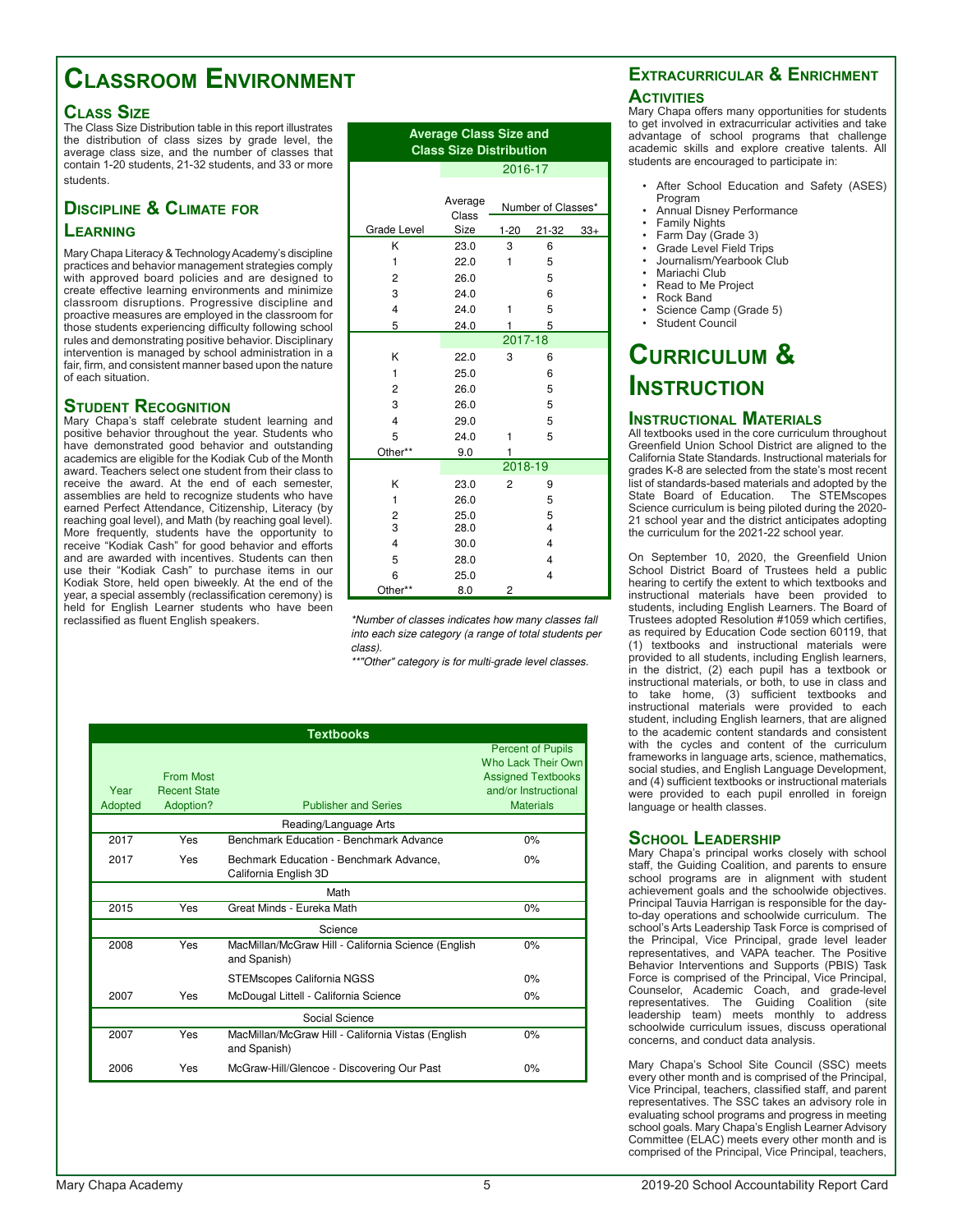## **Classroom Environment**

### **Class Size**

The Class Size Distribution table in this report illustrates the distribution of class sizes by grade level, the average class size, and the number of classes that contain 1-20 students, 21-32 students, and 33 or more students.

### **Discipline & Climate for Learning**

Mary Chapa Literacy & Technology Academy's discipline practices and behavior management strategies comply with approved board policies and are designed to create effective learning environments and minimize classroom disruptions. Progressive discipline and proactive measures are employed in the classroom for those students experiencing difficulty following school rules and demonstrating positive behavior. Disciplinary intervention is managed by school administration in a fair, firm, and consistent manner based upon the nature of each situation.

### **Student Recognition**

Mary Chapa's staff celebrate student learning and positive behavior throughout the year. Students who have demonstrated good behavior and outstanding academics are eligible for the Kodiak Cub of the Month award. Teachers select one student from their class to receive the award. At the end of each semester, assemblies are held to recognize students who have earned Perfect Attendance, Citizenship, Literacy (by reaching goal level), and Math (by reaching goal level). More frequently, students have the opportunity to receive "Kodiak Cash" for good behavior and efforts and are awarded with incentives. Students can then use their "Kodiak Cash" to purchase items in our Kodiak Store, held open biweekly. At the end of the year, a special assembly (reclassification ceremony) is held for English Learner students who have been reclassified as fluent English speakers.

| <b>Average Class Size and</b>  |
|--------------------------------|
| <b>Class Size Distribution</b> |

2016-17

|                         | Average<br>Class |          | Number of Classes* |       |
|-------------------------|------------------|----------|--------------------|-------|
| Grade Level             | Size             | $1 - 20$ | 21-32              | $33+$ |
| Κ                       | 23.0             | 3        | 6                  |       |
| 1                       | 22.0             | 1        | 5                  |       |
| 2                       | 26.0             |          | 5                  |       |
| 3                       | 24.0             |          | 6                  |       |
| $\overline{\mathbf{4}}$ | 24.0             | 1        | 5                  |       |
| 5                       | 24.0             | 1        | 5                  |       |
|                         |                  | 2017-18  |                    |       |
| K                       | 22.0             | 3        | 6                  |       |
| 1                       | 25.0             |          | 6                  |       |
| 2                       | 26.0             |          | 5                  |       |
| 3                       | 26.0             |          | 5                  |       |
| $\overline{\mathbf{4}}$ | 29.0             |          | 5                  |       |
| 5                       | 24.0             | 1        | 5                  |       |
| Other**                 | 9.0              | 1        |                    |       |
|                         |                  | 2018-19  |                    |       |
| K                       | 23.0             | 2        | 9                  |       |
| 1                       | 26.0             |          | 5                  |       |
| 2                       | 25.0             |          | 5                  |       |
| 3                       | 28.0             |          | 4                  |       |
| $\overline{\mathbf{4}}$ | 30.0             |          | 4                  |       |
| 5                       | 28.0             |          | 4                  |       |
| 6                       | 25.0             |          | 4                  |       |
| Other**                 | 8.0              | 2        |                    |       |

\*Number of classes indicates how many classes fall into each size category (a range of total students per class).

\*\*"Other" category is for multi-grade level classes.

|                 | <b>Textbooks</b>                                     |                                                                     |                                                                                                                         |  |  |  |  |  |
|-----------------|------------------------------------------------------|---------------------------------------------------------------------|-------------------------------------------------------------------------------------------------------------------------|--|--|--|--|--|
| Year<br>Adopted | <b>From Most</b><br><b>Recent State</b><br>Adoption? | <b>Publisher and Series</b>                                         | <b>Percent of Pupils</b><br>Who Lack Their Own<br><b>Assigned Textbooks</b><br>and/or Instructional<br><b>Materials</b> |  |  |  |  |  |
|                 |                                                      | Reading/Language Arts                                               |                                                                                                                         |  |  |  |  |  |
| 2017            | Yes                                                  | Benchmark Education - Benchmark Advance                             | 0%                                                                                                                      |  |  |  |  |  |
| 2017            | Yes                                                  | Bechmark Education - Benchmark Advance,<br>California English 3D    | 0%                                                                                                                      |  |  |  |  |  |
|                 | Math                                                 |                                                                     |                                                                                                                         |  |  |  |  |  |
| 2015            | Yes                                                  | Great Minds - Eureka Math                                           | 0%                                                                                                                      |  |  |  |  |  |
|                 |                                                      | Science                                                             |                                                                                                                         |  |  |  |  |  |
| 2008            | Yes                                                  | MacMillan/McGraw Hill - California Science (English<br>and Spanish) | 0%                                                                                                                      |  |  |  |  |  |
|                 |                                                      | <b>STEMscopes California NGSS</b>                                   | $0\%$                                                                                                                   |  |  |  |  |  |
| 2007            | Yes                                                  | McDougal Littell - California Science                               | 0%                                                                                                                      |  |  |  |  |  |
|                 |                                                      | Social Science                                                      |                                                                                                                         |  |  |  |  |  |
| 2007            | Yes                                                  | MacMillan/McGraw Hill - California Vistas (English<br>and Spanish)  | 0%                                                                                                                      |  |  |  |  |  |
| 2006            | Yes                                                  | McGraw-Hill/Glencoe - Discovering Our Past                          | 0%                                                                                                                      |  |  |  |  |  |

### **Extracurricular & Enrichment ACTIVITIES**

Mary Chapa offers many opportunities for students to get involved in extracurricular activities and take advantage of school programs that challenge academic skills and explore creative talents. All students are encouraged to participate in:

- After School Education and Safety (ASES) Program
- Annual Disney Performance
- Family Nights
- Farm Day (Grade 3)
- Grade Level Field Trips
- Journalism/Yearbook Club
- Mariachi Club • Read to Me Project
- Rock Band
- Science Camp (Grade 5)
- Student Council

## **Curriculum & Instruction**

### **Instructional Materials**

All textbooks used in the core curriculum throughout Greenfield Union School District are aligned to the California State Standards. Instructional materials for grades K-8 are selected from the state's most recent list of standards-based materials and adopted by the State Board of Education. The STEMscopes Science curriculum is being piloted during the 2020- 21 school year and the district anticipates adopting the curriculum for the 2021-22 school year.

On September 10, 2020, the Greenfield Union School District Board of Trustees held a public hearing to certify the extent to which textbooks and instructional materials have been provided to students, including English Learners. The Board of Trustees adopted Resolution #1059 which certifies, as required by Education Code section 60119, that (1) textbooks and instructional materials were provided to all students, including English learners, in the district, (2) each pupil has a textbook or instructional materials, or both, to use in class and to take home, (3) sufficient textbooks and instructional materials were provided to each student, including English learners, that are aligned to the academic content standards and consistent with the cycles and content of the curriculum frameworks in language arts, science, mathematics, social studies, and English Language Development, and (4) sufficient textbooks or instructional materials were provided to each pupil enrolled in foreign language or health classes.

### **School Leadership**

Mary Chapa's principal works closely with school staff, the Guiding Coalition, and parents to ensure school programs are in alignment with student achievement goals and the schoolwide objectives. Principal Tauvia Harrigan is responsible for the dayto-day operations and schoolwide curriculum. The school's Arts Leadership Task Force is comprised of the Principal, Vice Principal, grade level leader representatives, and VAPA teacher. The Positive Behavior Interventions and Supports (PBIS) Task Force is comprised of the Principal, Vice Principal, Counselor, Academic Coach, and grade-level representatives. The Guiding Coalition (site leadership team) meets monthly to address schoolwide curriculum issues, discuss operational concerns, and conduct data analysis.

Mary Chapa's School Site Council (SSC) meets every other month and is comprised of the Principal, Vice Principal, teachers, classified staff, and parent representatives. The SSC takes an advisory role in evaluating school programs and progress in meeting school goals. Mary Chapa's English Learner Advisory Committee (ELAC) meets every other month and is comprised of the Principal, Vice Principal, teachers,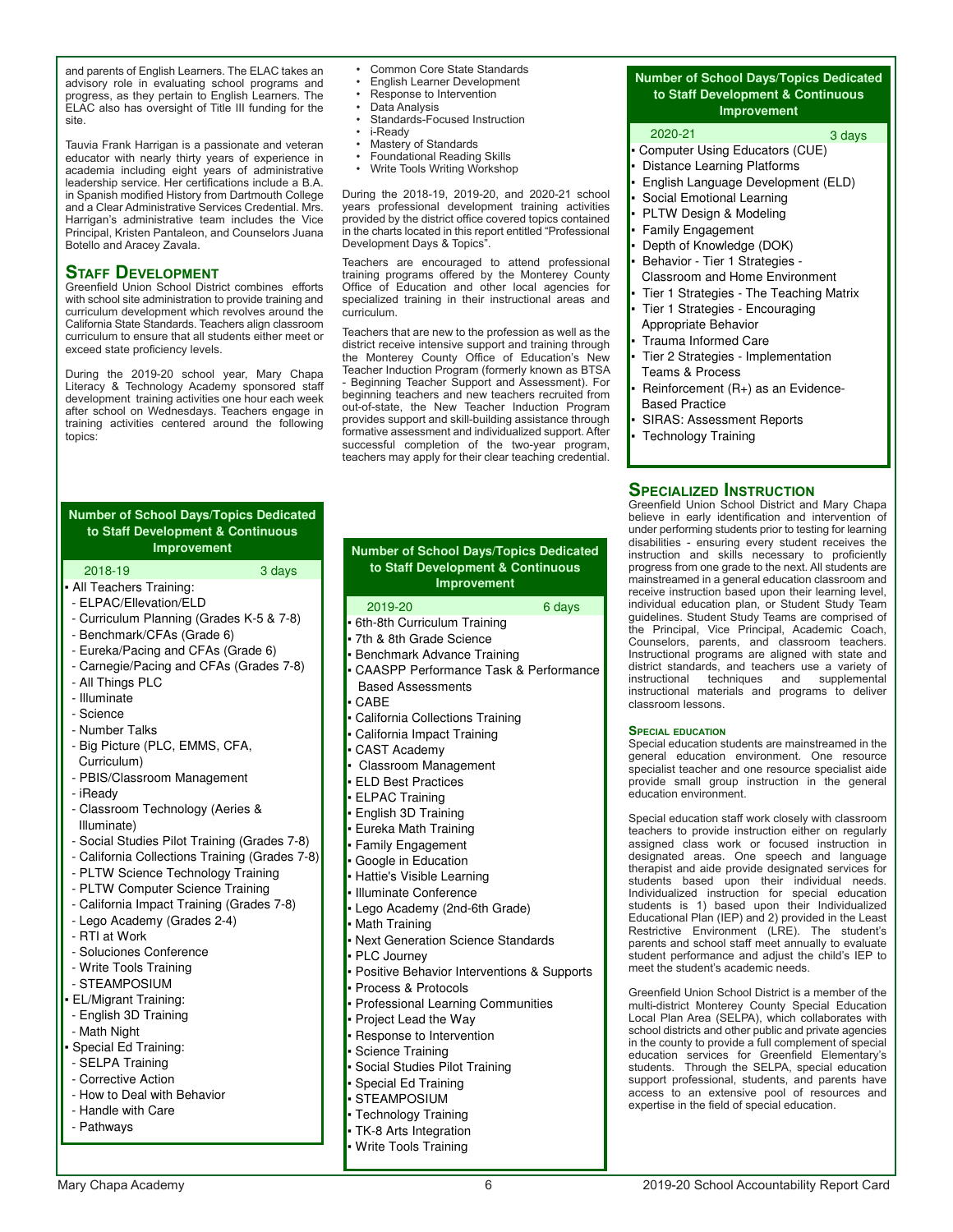and parents of English Learners. The ELAC takes an advisory role in evaluating school programs and progress, as they pertain to English Learners. The ELAC also has oversight of Title III funding for the site.

Tauvia Frank Harrigan is a passionate and veteran educator with nearly thirty years of experience in academia including eight years of administrative leadership service. Her certifications include a B.A. in Spanish modified History from Dartmouth College and a Clear Administrative Services Credential. Mrs. Harrigan's administrative team includes the Vice Principal, Kristen Pantaleon, and Counselors Juana Botello and Aracey Zavala.

#### **Staff Development**

Greenfield Union School District combines efforts with school site administration to provide training and curriculum development which revolves around the California State Standards. Teachers align classroom curriculum to ensure that all students either meet or exceed state proficiency levels.

During the 2019-20 school year, Mary Chapa Literacy & Technology Academy sponsored staff development training activities one hour each week after school on Wednesdays. Teachers engage in training activities centered around the following topics:

- Common Core State Standards
- English Learner Development • Response to Intervention
- 
- Data Analysis Standards-Focused Instruction
- i-Ready
- Mastery of Standards
- Foundational Reading Skills
- Write Tools Writing Workshop

During the 2018-19, 2019-20, and 2020-21 school years professional development training activities provided by the district office covered topics contained in the charts located in this report entitled "Professional Development Days & Topics".

Teachers are encouraged to attend professional training programs offered by the Monterey County Office of Education and other local agencies for specialized training in their instructional areas and curriculum.

Teachers that are new to the profession as well as the district receive intensive support and training through the Monterey County Office of Education's New Teacher Induction Program (formerly known as BTSA - Beginning Teacher Support and Assessment). For beginning teachers and new teachers recruited from out-of-state, the New Teacher Induction Program provides support and skill-building assistance through formative assessment and individualized support. After successful completion of the two-year program, teachers may apply for their clear teaching credential.

| <b>Number of School Days/Topics Dedicated</b><br>to Staff Development & Continuous |  |  |  |  |  |
|------------------------------------------------------------------------------------|--|--|--|--|--|
| <b>Improvement</b>                                                                 |  |  |  |  |  |
| 2018-19<br>3 days                                                                  |  |  |  |  |  |
| • All Teachers Training:                                                           |  |  |  |  |  |
| - ELPAC/Ellevation/ELD                                                             |  |  |  |  |  |
| - Curriculum Planning (Grades K-5 & 7-8)                                           |  |  |  |  |  |
| - Benchmark/CFAs (Grade 6)                                                         |  |  |  |  |  |
| - Eureka/Pacing and CFAs (Grade 6)                                                 |  |  |  |  |  |
| - Carnegie/Pacing and CFAs (Grades 7-8)<br>- All Things PLC                        |  |  |  |  |  |
| - Illuminate                                                                       |  |  |  |  |  |
| - Science                                                                          |  |  |  |  |  |
| - Number Talks                                                                     |  |  |  |  |  |
| - Big Picture (PLC, EMMS, CFA,                                                     |  |  |  |  |  |
| Curriculum)                                                                        |  |  |  |  |  |
| - PBIS/Classroom Management                                                        |  |  |  |  |  |
| - iReady                                                                           |  |  |  |  |  |
| - Classroom Technology (Aeries &                                                   |  |  |  |  |  |
| Illuminate)                                                                        |  |  |  |  |  |
| - Social Studies Pilot Training (Grades 7-8)                                       |  |  |  |  |  |
| - California Collections Training (Grades 7-8)                                     |  |  |  |  |  |
| - PLTW Science Technology Training                                                 |  |  |  |  |  |
| - PLTW Computer Science Training                                                   |  |  |  |  |  |
| - California Impact Training (Grades 7-8)<br>- Lego Academy (Grades 2-4)           |  |  |  |  |  |
| - RTI at Work                                                                      |  |  |  |  |  |
| - Soluciones Conference                                                            |  |  |  |  |  |
| - Write Tools Training                                                             |  |  |  |  |  |
| - STEAMPOSIUM                                                                      |  |  |  |  |  |
| • EL/Migrant Training:                                                             |  |  |  |  |  |
| - English 3D Training                                                              |  |  |  |  |  |
| - Math Night                                                                       |  |  |  |  |  |
| • Special Ed Training:                                                             |  |  |  |  |  |
| - SELPA Training                                                                   |  |  |  |  |  |
| - Corrective Action                                                                |  |  |  |  |  |
| - How to Deal with Behavior                                                        |  |  |  |  |  |
| - Handle with Care                                                                 |  |  |  |  |  |
| - Pathways                                                                         |  |  |  |  |  |

#### 2019-20 6 days 6th-8th Curriculum Training 7th & 8th Grade Science Benchmark Advance Training CAASPP Performance Task & Performance Based Assessments CABE California Collections Training California Impact Training CAST Academy Classroom Management ELD Best Practices ELPAC Training English 3D Training Eureka Math Training Family Engagement Google in Education Hattie's Visible Learning Illuminate Conference Lego Academy (2nd-6th Grade) Math Training Next Generation Science Standards PLC Journey Positive Behavior Interventions & Supports Process & Protocols Professional Learning Communities Project Lead the Way **Number of School Days/Topics Dedicated to Staff Development & Continuous Improvement**

- Response to Intervention
- Science Training
- Social Studies Pilot Training
- Special Ed Training
- STEAMPOSIUM
- Technology Training
- TK-8 Arts Integration
- Write Tools Training
- **Number of School Days/Topics Dedicated to Staff Development & Continuous Improvement**
- 2020-21 3 days Computer Using Educators (CUE) Distance Learning Platforms English Language Development (ELD) Social Emotional Learning PLTW Design & Modeling Family Engagement Depth of Knowledge (DOK) Behavior - Tier 1 Strategies - Classroom and Home Environment Tier 1 Strategies - The Teaching Matrix Tier 1 Strategies - Encouraging Appropriate Behavior Trauma Informed Care Tier 2 Strategies - Implementation Teams & Process Reinforcement (R+) as an Evidence- Based Practice SIRAS: Assessment Reports Technology Training

#### **Specialized Instruction**

Greenfield Union School District and Mary Chapa believe in early identification and intervention of under performing students prior to testing for learning disabilities - ensuring every student receives the instruction and skills necessary to proficiently progress from one grade to the next. All students are mainstreamed in a general education classroom and receive instruction based upon their learning level, individual education plan, or Student Study Team guidelines. Student Study Teams are comprised of the Principal, Vice Principal, Academic Coach, Counselors, parents, and classroom teachers. Instructional programs are aligned with state and district standards, and teachers use a variety of instructional techniques and supplemental instructional materials and programs to deliver classroom lessons.

#### **Special education**

Special education students are mainstreamed in the general education environment. One resource specialist teacher and one resource specialist aide provide small group instruction in the general education environment.

Special education staff work closely with classroom teachers to provide instruction either on regularly assigned class work or focused instruction in designated areas. One speech and language therapist and aide provide designated services for students based upon their individual needs. Individualized instruction for special education students is 1) based upon their Individualized Educational Plan (IEP) and 2) provided in the Least Restrictive Environment (LRE). The student's parents and school staff meet annually to evaluate student performance and adjust the child's IEP to meet the student's academic needs.

Greenfield Union School District is a member of the multi-district Monterey County Special Education Local Plan Area (SELPA), which collaborates with school districts and other public and private agencies in the county to provide a full complement of special education services for Greenfield Elementary's students. Through the SELPA, special education support professional, students, and parents have access to an extensive pool of resources and expertise in the field of special education.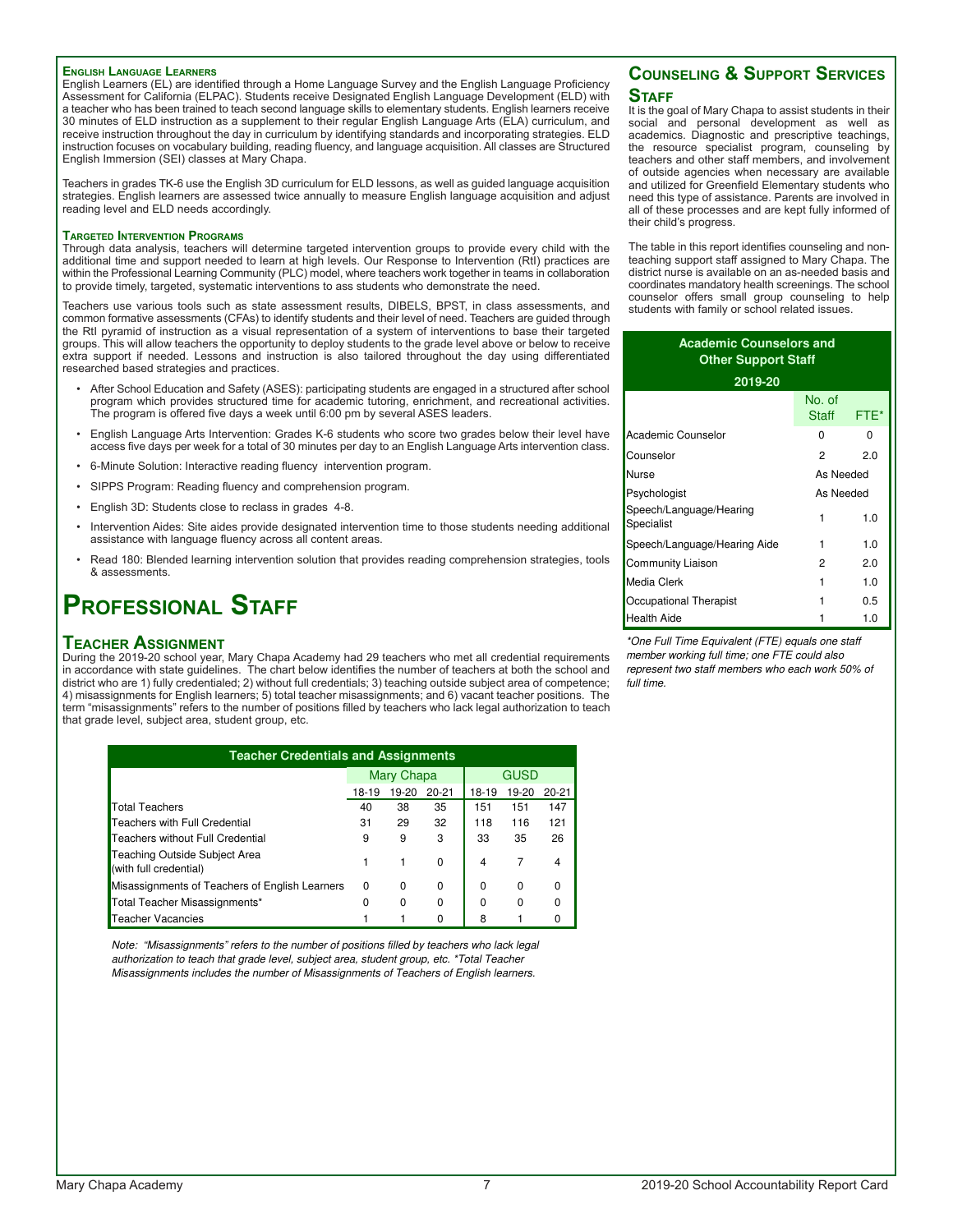#### **English Language Learners**

English Learners (EL) are identified through a Home Language Survey and the English Language Proficiency Assessment for California (ELPAC). Students receive Designated English Language Development (ELD) with a teacher who has been trained to teach second language skills to elementary students. English learners receive 30 minutes of ELD instruction as a supplement to their regular English Language Arts (ELA) curriculum, and receive instruction throughout the day in curriculum by identifying standards and incorporating strategies. ELD instruction focuses on vocabulary building, reading fluency, and language acquisition. All classes are Structured English Immersion (SEI) classes at Mary Chapa.

Teachers in grades TK-6 use the English 3D curriculum for ELD lessons, as well as guided language acquisition strategies. English learners are assessed twice annually to measure English language acquisition and adjust reading level and ELD needs accordingly.

#### **Targeted Intervention Programs**

Through data analysis, teachers will determine targeted intervention groups to provide every child with the additional time and support needed to learn at high levels. Our Response to Intervention (RtI) practices are within the Professional Learning Community (PLC) model, where teachers work together in teams in collaboration to provide timely, targeted, systematic interventions to ass students who demonstrate the need.

Teachers use various tools such as state assessment results, DIBELS, BPST, in class assessments, and common formative assessments (CFAs) to identify students and their level of need. Teachers are guided through the RtI pyramid of instruction as a visual representation of a system of interventions to base their targeted groups. This will allow teachers the opportunity to deploy students to the grade level above or below to receive extra support if needed. Lessons and instruction is also tailored throughout the day using differentiated researched based strategies and practices.

- After School Education and Safety (ASES): participating students are engaged in a structured after school program which provides structured time for academic tutoring, enrichment, and recreational activities. The program is offered five days a week until 6:00 pm by several ASES leaders.
- English Language Arts Intervention: Grades K-6 students who score two grades below their level have access five days per week for a total of 30 minutes per day to an English Language Arts intervention class.
- 6-Minute Solution: Interactive reading fluency intervention program.
- SIPPS Program: Reading fluency and comprehension program.
- English 3D: Students close to reclass in grades 4-8.
- Intervention Aides: Site aides provide designated intervention time to those students needing additional assistance with language fluency across all content areas.
- Read 180: Blended learning intervention solution that provides reading comprehension strategies, tools & assessments.

### **Professional Staff**

#### **Teacher Assignment**

During the 2019-20 school year, Mary Chapa Academy had 29 teachers who met all credential requirements in accordance with state guidelines. The chart below identifies the number of teachers at both the school and district who are 1) fully credentialed; 2) without full credentials; 3) teaching outside subject area of competence; 4) misassignments for English learners; 5) total teacher misassignments; and 6) vacant teacher positions. The term "misassignments" refers to the number of positions filled by teachers who lack legal authorization to teach that grade level, subject area, student group, etc.

| <b>Teacher Credentials and Assignments</b>              |          |            |           |       |       |           |  |  |  |  |
|---------------------------------------------------------|----------|------------|-----------|-------|-------|-----------|--|--|--|--|
|                                                         |          | Mary Chapa |           |       | GUSD  |           |  |  |  |  |
|                                                         | 18-19    | 19-20      | $20 - 21$ | 18-19 | 19-20 | $20 - 21$ |  |  |  |  |
| <b>Total Teachers</b>                                   | 40       | 38         | 35        | 151   | 151   | 147       |  |  |  |  |
| Teachers with Full Credential                           | 31       | 29         | 32        | 118   | 116   | 121       |  |  |  |  |
| Teachers without Full Credential                        | 9        | 9          | 3         | 33    | 35    | 26        |  |  |  |  |
| Teaching Outside Subject Area<br>(with full credential) |          |            | $\Omega$  | 4     | 7     | 4         |  |  |  |  |
| Misassignments of Teachers of English Learners          | $\Omega$ | 0          | $\Omega$  | 0     | 0     | $\Omega$  |  |  |  |  |
| Total Teacher Misassignments*                           | 0        | $\Omega$   | $\Omega$  | 0     | 0     | $\Omega$  |  |  |  |  |
| <b>Teacher Vacancies</b>                                |          |            |           | 8     |       | 0         |  |  |  |  |

Note: "Misassignments" refers to the number of positions filled by teachers who lack legal authorization to teach that grade level, subject area, student group, etc. \*Total Teacher Misassignments includes the number of Misassignments of Teachers of English learners.

#### **Counseling & Support Services STAFF**

It is the goal of Mary Chapa to assist students in their social and personal development as well as academics. Diagnostic and prescriptive teachings, the resource specialist program, counseling by teachers and other staff members, and involvement of outside agencies when necessary are available and utilized for Greenfield Elementary students who need this type of assistance. Parents are involved in all of these processes and are kept fully informed of their child's progress.

The table in this report identifies counseling and nonteaching support staff assigned to Mary Chapa. The district nurse is available on an as-needed basis and coordinates mandatory health screenings. The school counselor offers small group counseling to help students with family or school related issues.

| <b>Academic Counselors and</b><br><b>Other Support Staff</b> |                 |      |  |  |  |  |
|--------------------------------------------------------------|-----------------|------|--|--|--|--|
| 2019-20                                                      |                 |      |  |  |  |  |
|                                                              | No. of<br>Staff | FTE* |  |  |  |  |
| Academic Counselor                                           | 0               | 0    |  |  |  |  |
| Counselor                                                    | 2               | 2.0  |  |  |  |  |
| Nurse                                                        | As Needed       |      |  |  |  |  |
| Psychologist                                                 | As Needed       |      |  |  |  |  |
| Speech/Language/Hearing<br>Specialist                        | 1               | 1.0  |  |  |  |  |
| Speech/Language/Hearing Aide                                 | 1               | 1.0  |  |  |  |  |
| Community Liaison                                            | 2               | 2.0  |  |  |  |  |
| Media Clerk                                                  | 1               | 1.0  |  |  |  |  |
| Occupational Therapist                                       |                 | 0.5  |  |  |  |  |
| Health Aide                                                  | 1               | 1.0  |  |  |  |  |

\*One Full Time Equivalent (FTE) equals one staff member working full time; one FTE could also represent two staff members who each work 50% of full time.